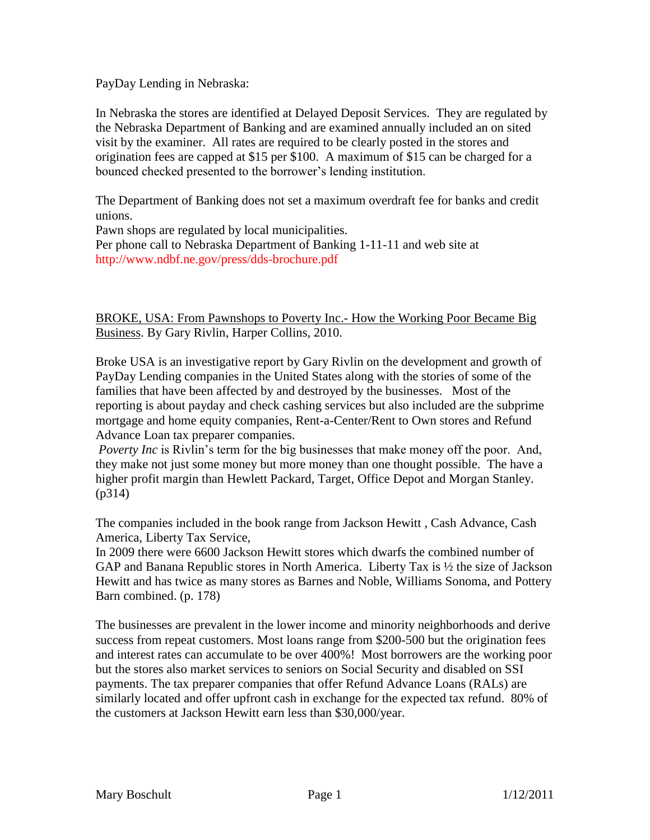PayDay Lending in Nebraska:

In Nebraska the stores are identified at Delayed Deposit Services. They are regulated by the Nebraska Department of Banking and are examined annually included an on sited visit by the examiner. All rates are required to be clearly posted in the stores and origination fees are capped at \$15 per \$100. A maximum of \$15 can be charged for a bounced checked presented to the borrower's lending institution.

The Department of Banking does not set a maximum overdraft fee for banks and credit unions.

Pawn shops are regulated by local municipalities. Per phone call to Nebraska Department of Banking 1-11-11 and web site at http://www.ndbf.ne.gov/press/dds-brochure.pdf

BROKE, USA: From Pawnshops to Poverty Inc.- How the Working Poor Became Big Business. By Gary Rivlin, Harper Collins, 2010.

Broke USA is an investigative report by Gary Rivlin on the development and growth of PayDay Lending companies in the United States along with the stories of some of the families that have been affected by and destroyed by the businesses. Most of the reporting is about payday and check cashing services but also included are the subprime mortgage and home equity companies, Rent-a-Center/Rent to Own stores and Refund Advance Loan tax preparer companies.

*Poverty Inc* is Rivlin's term for the big businesses that make money off the poor. And, they make not just some money but more money than one thought possible. The have a higher profit margin than Hewlett Packard, Target, Office Depot and Morgan Stanley. (p314)

The companies included in the book range from Jackson Hewitt , Cash Advance, Cash America, Liberty Tax Service,

In 2009 there were 6600 Jackson Hewitt stores which dwarfs the combined number of GAP and Banana Republic stores in North America. Liberty Tax is ½ the size of Jackson Hewitt and has twice as many stores as Barnes and Noble, Williams Sonoma, and Pottery Barn combined. (p. 178)

The businesses are prevalent in the lower income and minority neighborhoods and derive success from repeat customers. Most loans range from \$200-500 but the origination fees and interest rates can accumulate to be over 400%! Most borrowers are the working poor but the stores also market services to seniors on Social Security and disabled on SSI payments. The tax preparer companies that offer Refund Advance Loans (RALs) are similarly located and offer upfront cash in exchange for the expected tax refund. 80% of the customers at Jackson Hewitt earn less than \$30,000/year.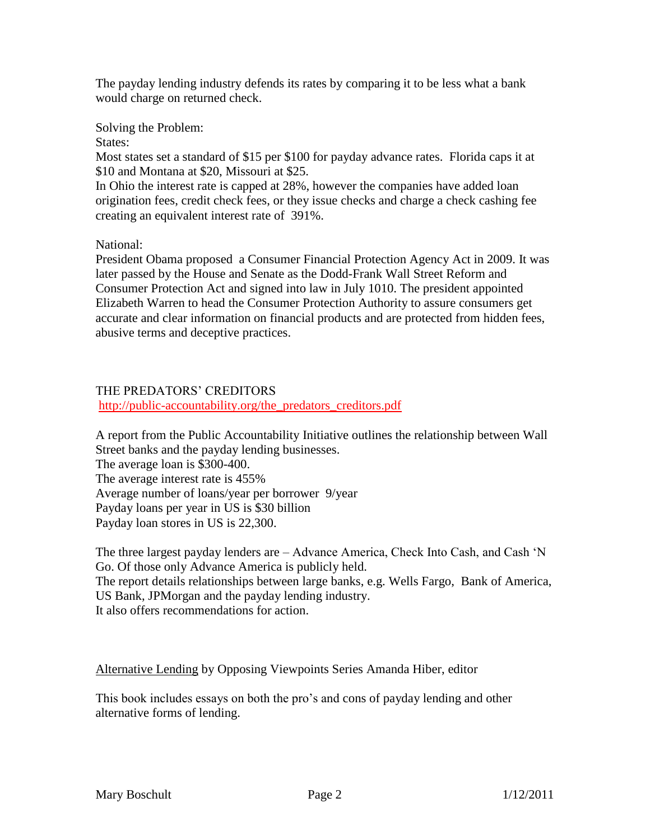The payday lending industry defends its rates by comparing it to be less what a bank would charge on returned check.

Solving the Problem:

States:

Most states set a standard of \$15 per \$100 for payday advance rates. Florida caps it at \$10 and Montana at \$20, Missouri at \$25.

In Ohio the interest rate is capped at 28%, however the companies have added loan origination fees, credit check fees, or they issue checks and charge a check cashing fee creating an equivalent interest rate of 391%.

National:

President Obama proposed a Consumer Financial Protection Agency Act in 2009. It was later passed by the House and Senate as the Dodd-Frank Wall Street Reform and Consumer Protection Act and signed into law in July 1010. The president appointed Elizabeth Warren to head the Consumer Protection Authority to assure consumers get accurate and clear information on financial products and are protected from hidden fees, abusive terms and deceptive practices.

## THE PREDATORS' CREDITORS

[http://public-accountability.org/the\\_predators\\_creditors.pdf](http://public-accountability.org/the_predators_creditors.pdf)

A report from the Public Accountability Initiative outlines the relationship between Wall Street banks and the payday lending businesses. The average loan is \$300-400. The average interest rate is 455% Average number of loans/year per borrower 9/year Payday loans per year in US is \$30 billion Payday loan stores in US is 22,300.

The three largest payday lenders are – Advance America, Check Into Cash, and Cash 'N Go. Of those only Advance America is publicly held. The report details relationships between large banks, e.g. Wells Fargo, Bank of America, US Bank, JPMorgan and the payday lending industry. It also offers recommendations for action.

Alternative Lending by Opposing Viewpoints Series Amanda Hiber, editor

This book includes essays on both the pro's and cons of payday lending and other alternative forms of lending.